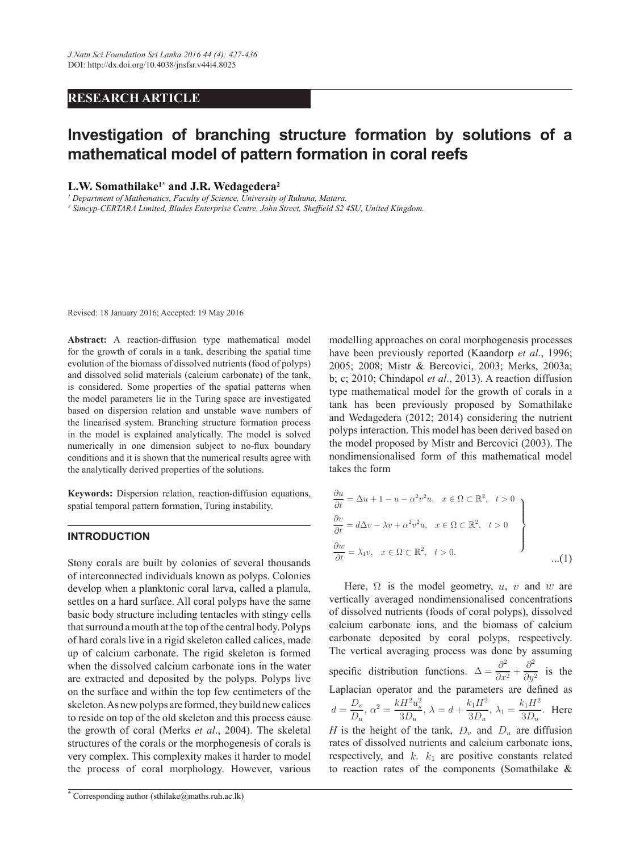# **RESEARCH ARTICLE**

# Investigation of branching structure formation by solutions of a **PADAMED MEDGEARY METHORITY METHORIST METHORIST METHORIST METHORIST METHORIST METHORIST METHORIST METHORIST METHORIST METHORIST METHORIST METHORIST METHORIST METHORIST METHORIST METHORIST METHORIST METHORIST METHORIST METH**

## **L.W.** Somathilake<sup>1\*</sup> and **J.R.** Wedagedera<sup>2</sup>

*1 Department of Mathematics, Faculty of Science, University of Ruhuna, Matara.*

<sup>2</sup> Simcyp-CERTARA Limited, Blades Enterprise Centre, John Street, Sheffield S2 4SU, United Kingdom.

Revised: 18 January 2016; Accepted: 19 May 2016

Abstract: A reaction-diffusion type mathematical model for the growth of corals in a tank, describing the spatial time evolution of the biomass of dissolved nutrients (food of polyps) and dissolved solid materials (calcium carbonate) of the tank, is considered. Some properties of the spatial patterns when the model parameters lie in the Turing space are investigated based on dispersion relation and unstable wave numbers of the linearised system. Branching structure formation process in the model is explained analytically. The model is solved numerically in one dimension subject to no-flux boundary conditions and it is shown that the numerical results agree with the analytically derived properties of the solutions.

**Keywords:** Dispersion relation, reaction-diffusion equations, spatial temporal pattern formation, Turing instability.

# **INTRODUCTION**

Stony corals are built by colonies of several thousands of interconnected individuals known as polyps. Colonies develop when a planktonic coral larva, called a planula, settles on a hard surface. All coral polyps have the same basic body structure including tentacles with stingy cells that surround a mouth at the top of the central body. Polyps of hard corals live in a rigid skeleton called calices, made up of calcium carbonate. The rigid skeleton is formed when the dissolved calcium carbonate ions in the water are extracted and deposited by the polyps. Polyps live on the surface and within the top few centimeters of the skeleton. As new polyps are formed, they build new calices  $d =$ to reside on top of the old skeleton and this process cause the growth of coral (Merks *et al*., 2004). The skeletal structures of the corals or the morphogenesis of corals is very complex. This complexity makes it harder to model the process of coral morphology. However, various

modelling approaches on coral morphogenesis processes have been previously reported (Kaandorp *et al*., 1996; 2005; 2008; Mistr & Bercovici, 2003; Merks, 2003a; b; c; 2010; Chindapol *et al*., 2013). A reaction diffusion type mathematical model for the growth of corals in a tank has been previously proposed by Somathilake and Wedagedera (2012; 2014) considering the nutrient polyps interaction. This model has been derived based on the model proposed by Mistr and Bercovici (2003). The nondimensionalised form of this mathematical model takes the form

$$
\begin{aligned}\n\frac{\partial u}{\partial t} &= \Delta u + 1 - u - \alpha^2 v^2 u, \quad x \in \Omega \subset \mathbb{R}^2, \quad t > 0 \\
\frac{\partial \bar{v}}{\partial t} &= d\Delta v - \lambda v + \alpha^2 v^2 u, \quad x \in \Omega \subset \mathbb{R}^2, \quad t > 0 \\
\frac{\partial \bar{w}}{\partial t} &= \lambda_1 v, \quad x \in \Omega \subset \mathbb{R}^2, \quad t > 0.\n\end{aligned}
$$
\n...(1)

Here,  $\Omega$  is the model geometry, u, v and w are vertically averaged nondimensionalised concentrations of dissolved nutrients (foods of coral polyps), dissolved calcium carbonate ions, and the biomass of calcium carbonate deposited by coral polyps, respectively. d skeleton is formed The vertical averaging process was done by assuming nate ions in the water specific distribution functions.  $\Delta = \frac{\partial^2}{\partial x^2}$  $rac{\partial^2}{\partial x^2} + \frac{\partial^2}{\partial y^2}$  $rac{\partial}{\partial y^2}$  is the Laplacian operator and the parameters are defined as  $D_v$  $rac{D_v}{D_u}$ ,  $\alpha^2 = \frac{kH^2u_s^2}{3D_u}$  $\frac{H^2 u_s^2}{3D_u}, \lambda = d + \frac{k_1 H^2}{3D_u}$  $rac{k_1H^2}{3D_u}, \lambda_1 = \frac{k_1H^2}{3D_u}$  $\frac{v_1H}{3D_u}$ . Here *H* is the height of the tank,  $D_v$  and  $D_u$  are diffusion re diffusion rates of dissolved nutrients and calcium carbonate ions, respectively, and  $k$ ,  $k_1$  are positive constants related to reaction rates of the components (Somathilake  $\&$ 

**<sup>\*</sup>** Corresponding author (sthilake@maths.ruh.ac.lk)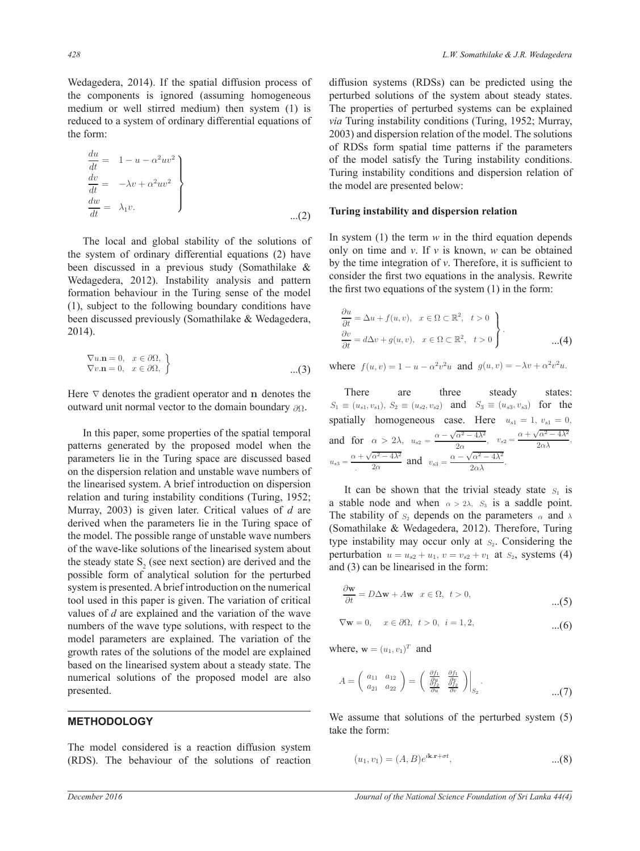Wedagedera, 2014). If the spatial diffusion process of the components is ignored (assuming homogeneous medium or well stirred medium) then system (1) is reduced to a system of ordinary differential equations of the form:

$$
\begin{aligned}\n\frac{du}{dt} &= 1 - u - \alpha^2 uv^2 \\
\frac{d\dot{v}}{dt} &= -\lambda v + \alpha^2 uv^2 \\
\frac{dw}{dt} &= \lambda_1 v.\n\end{aligned}
$$
...(2)

 The local and global stability of the solutions of the system of ordinary differential equations (2) have been discussed in a previous study (Somathilake & Wedagedera, 2012). Instability analysis and pattern formation behaviour in the Turing sense of the model (1), subject to the following boundary conditions have been discussed previously (Somathilake & Wedagedera, 2014).

$$
\nabla u \cdot \mathbf{n} = 0, \quad x \in \partial \Omega, \n\nabla v \cdot \mathbf{n} = 0, \quad x \in \partial \Omega, \quad \}
$$
...(3)

Here  $\nabla$  denotes the gradient operator and n denotes the outward unit normal vector to the domain boundary ∂Ω,.

 In this paper, some properties of the spatial temporal patterns generated by the proposed model when the parameters lie in the Turing space are discussed based on the dispersion relation and unstable wave numbers of  $\frac{2a}{a}$ the linearised system. A brief introduction on dispersion relation and turing instability conditions (Turing, 1952; Murray, 2003) is given later. Critical values of *d* are derived when the parameters lie in the Turing space of the model. The possible range of unstable wave numbers of the wave-like solutions of the linearised system about the steady state  $S_2$  (see next section) are derived and the possible form of analytical solution for the perturbed system is presented. A brief introduction on the numerical tool used in this paper is given. The variation of critical values of *d* are explained and the variation of the wave numbers of the wave type solutions, with respect to the model parameters are explained. The variation of the growth rates of the solutions of the model are explained based on the linearised system about a steady state. The numerical solutions of the proposed model are also presented.

# **METHODOLOGY**

The model considered is a reaction diffusion system (RDS). The behaviour of the solutions of reaction diffusion systems (RDSs) can be predicted using the perturbed solutions of the system about steady states. The properties of perturbed systems can be explained *via* Turing instability conditions (Turing, 1952; Murray, 2003) and dispersion relation of the model. The solutions of RDSs form spatial time patterns if the parameters of the model satisfy the Turing instability conditions. Turing instability conditions and dispersion relation of the model are presented below:

#### Turing instability and dispersion relation

In system (1) the term *w* in the third equation depends only on time and *v*. If *v* is known, *w* can be obtained by the time integration of  $\nu$ . Therefore, it is sufficient to consider the first two equations in the analysis. Rewrite the first two equations of the system  $(1)$  in the form:

$$
\frac{\partial u}{\partial t} = \Delta u + f(u, v), \quad x \in \Omega \subset \mathbb{R}^2, \quad t > 0
$$
  

$$
\frac{\partial v}{\partial t} = d\Delta v + g(u, v), \quad x \in \Omega \subset \mathbb{R}^2, \quad t > 0
$$
...(4)

where  $f(u, v) = 1 - u - \alpha^2 v^2 u$  and  $g(u, v) = -\lambda v + \alpha^2 v^2 u$ .

There are three steady states: domain boundary  $\partial \Omega$ .  $S_1 \equiv (u_{s1}, v_{s1}), S_2 \equiv (u_{s2}, v_{s2})$  and  $S_3 \equiv (u_{s3}, v_{s3})$  for the spatially homogeneous case. Here  $u_{s1} = 1, v_{s1} = 0$ , and for  $\alpha > 2\lambda$ ,  $u_{s2} = \frac{\alpha - \sqrt{\alpha^2 - 4\lambda^2}}{2\alpha}$  $\frac{\alpha^2 - 4\lambda^2}{2\alpha}$ ,  $v_{s2} = \frac{\alpha + \sqrt{\alpha^2 - 4\lambda^2}}{2\alpha\lambda}$ ,  $u_{s3} = \frac{\alpha + \sqrt{\alpha^2 - 4\lambda^2}}{2}$  $\frac{\alpha^2 - 4\lambda^2}{2\alpha}$  and  $v_{s3} = \frac{\alpha - \sqrt{\alpha^2 - 4\lambda^2}}{2\alpha\lambda}$ .

> It can be shown that the trivial steady state  $S_1$  is a stable node and when  $\alpha > 2\lambda$ ,  $S_3$  is a saddle point. The stability of  $S_2$  depends on the parameters  $\alpha$  and  $\lambda$ (Somathilake & Wedagedera, 2012). Therefore, Turing type instability may occur only at  $S<sub>2</sub>$ . Considering the perturbation  $u = u_{s2} + u_1$ ,  $v = v_{s2} + v_1$  at  $S_2$ , systems (4) and (3) can be linearised in the form:

$$
\frac{\partial \mathbf{w}}{\partial t} = D\Delta \mathbf{w} + A\mathbf{w} \quad x \in \Omega, \ t > 0,
$$
...(5)

$$
\nabla \mathbf{w} = 0, \quad x \in \partial \Omega, \ t > 0, \ i = 1, 2, \tag{6}
$$

where,  $\mathbf{w} = (u_1, v_1)^T$  and

$$
A = \begin{pmatrix} a_{11} & a_{12} \\ a_{21} & a_{22} \end{pmatrix} = \begin{pmatrix} \frac{\partial f_1}{\partial p} & \frac{\partial f_1}{\partial p} \\ \frac{\partial f_2}{\partial u} & \frac{\partial f_2}{\partial v} \end{pmatrix} \Big|_{S_2}.
$$
...(7)

We assume that solutions of the perturbed system (5) take the form:

$$
(u_1, v_1) = (A, B)e^{i\mathbf{k} \cdot \mathbf{r} + \sigma t}, \tag{8}
$$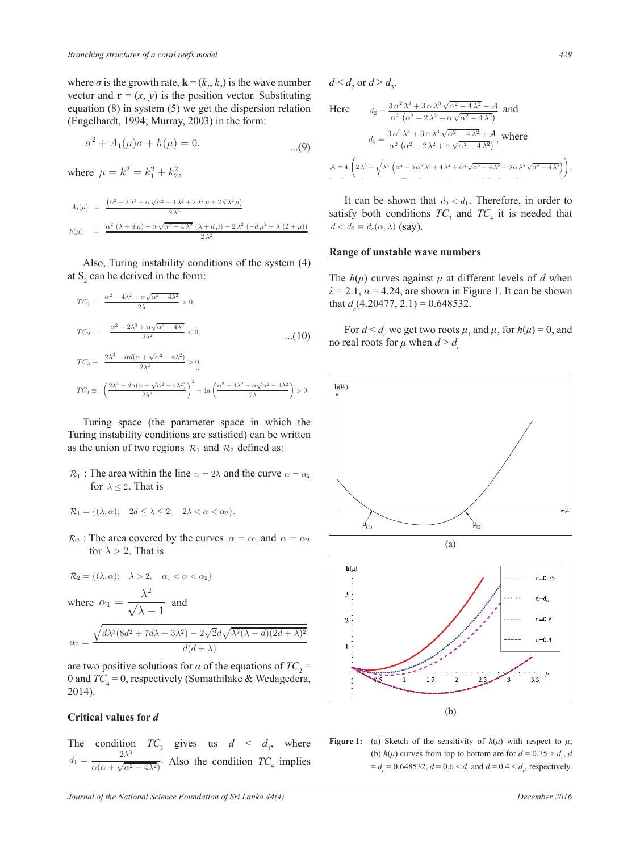where  $\sigma$  is the growth rate,  $\mathbf{k} = (k_1, k_2)$  is the wave number vector and  $\mathbf{r} = (x, y)$  is the position vector. Substituting equation (8) in system (5) we get the dispersion relation (Engelhardt, 1994; Murray, 2003) in the form:

$$
\sigma^2 + A_1(\mu)\sigma + h(\mu) = 0, \tag{9}
$$

where  $\mu = k^2 = k_1^2 + k_2^2$ ,

$$
A_1(\mu) = \frac{(\alpha^2 - 2\lambda^3 + \alpha\sqrt{\alpha^2 - 4\lambda^2} + 2\lambda^2\mu + 2d\lambda^2\mu)}{2\lambda^2}
$$
  
\n
$$
h(\mu) = \frac{\alpha^2(\lambda + d\mu) + \alpha\sqrt{\alpha^2 - 4\lambda^2}(\lambda + d\mu) - 2\lambda^2(-d\mu^2 + \lambda(2 + \mu))}{2\lambda^2}.
$$

 Also, Turing instability conditions of the system (4) at  $S_2$  can be derived in the form:

$$
TC_1 \equiv \frac{\alpha^2 - 4\lambda^2 + \alpha\sqrt{\alpha^2 - 4\lambda^2}}{2\lambda} > 0,
$$
  
\n
$$
TC_2 \equiv -\frac{\alpha^2 - 2\lambda^3 + \alpha\sqrt{\alpha^2 - 4\lambda^2}}{2\lambda^2} < 0,
$$
  
\n
$$
TC_3 \equiv \frac{2\lambda^3 - \alpha d(\alpha + \sqrt{\alpha^2 - 4\lambda^2})}{2\lambda^2} > 0,
$$
  
\n
$$
TC_4 \equiv \left(\frac{2\lambda^3 - d\alpha(\alpha + \sqrt{\alpha^2 - 4\lambda^2})}{2\lambda^2}\right)^2 - 4d\left(\frac{\alpha^2 - 4\lambda^2 + \alpha\sqrt{\alpha^2 - 4\lambda^2}}{2\lambda}\right) > 0.
$$

 Turing space (the parameter space in which the Turing instability conditions are satisfied) can be written as the union of two regions  $\mathcal{R}_1$  and  $\mathcal{R}_2$  defined as:

 $\mathcal{R}_1$  : The area within the line  $\alpha = 2\lambda$  and the curve  $\alpha = \alpha_2$ for  $\lambda \leq 2$ . That is

$$
\mathcal{R}_1 = \{ (\lambda, \alpha); \quad 2d \le \lambda \le 2, \quad 2\lambda < \alpha < \alpha_2 \}.
$$

 $\mathcal{R}_2$ : The area covered by the curves  $\alpha = \alpha_1$  and  $\alpha = \alpha_2$ for  $\lambda > 2$ . That is

$$
\mathcal{R}_2 = \{ (\lambda, \alpha); \quad \lambda > 2, \quad \alpha_1 < \alpha < \alpha_2 \}
$$
  
where  $\alpha_1 = \frac{\lambda^2}{\sqrt{\lambda - 1}}$  and  

$$
\sqrt{d\lambda^3 (8d^2 + 7d\lambda + 3\lambda^2) - 2\sqrt{2}d\lambda}
$$

$$
\alpha_2 = \frac{\sqrt{d\lambda^3 (8d^2 + 7d\lambda + 3\lambda^2) - 2\sqrt{2}d\sqrt{\lambda^7 (\lambda - d)(2d + \lambda)^2}}}{d(d + \lambda)}
$$

are two positive solutions for  $\alpha$  of the equations of  $TC_2$  = 0 and  $TC_4 = 0$ , respectively (Somathilake & Wedagedera, 2014).

### **Critical values for d**

The condition  $TC_3$  gives us  $d \leq d_1$ , where  $d_1 = \frac{2\lambda^3}{\sqrt{2\lambda^3}}$  $\frac{1}{\alpha(\alpha + \sqrt{\alpha^2 - 4\lambda^2})}$ . Also the condition  $TC_4$  implies

$$
d < d_2 \text{ or } d > d_3.
$$
  
\nHere 
$$
d_2 = \frac{3 \alpha^2 \lambda^3 + 3 \alpha \lambda^3 \sqrt{\alpha^2 - 4 \lambda^2} - A}{\alpha^2 (\alpha^2 - 2 \lambda^2 + \alpha \sqrt{\alpha^2 - 4 \lambda^2})}
$$
 and 
$$
d_3 = \frac{3 \alpha^2 \lambda^3 + 3 \alpha \lambda^3 \sqrt{\alpha^2 - 4 \lambda^2} + A}{\alpha^2 (\alpha^2 - 2 \lambda^2 + \alpha \sqrt{\alpha^2 - 4 \lambda^2})}, \text{ where}
$$

$$
A = 4 \left( 2 \lambda^5 + \sqrt{\lambda^6 (\alpha^4 - 5 \alpha^2 \lambda^2 + 4 \lambda^4 + \alpha^3 \sqrt{\alpha^2 - 4 \lambda^2} - 3 \alpha \lambda^2 \sqrt{\alpha^2 - 4 \lambda^2}} \right)
$$

It can be shown that  $d_2 < d_1$ . Therefore, in order to satisfy both conditions  $TC_3$  and  $TC_4$  it is needed that  $d < d_2 \equiv d_c(\alpha, \lambda)$  (say).

# **Range of unstable wave numbers**

The  $h(\mu)$  curves against  $\mu$  at different levels of  $d$  when  $\lambda = 2.1$ ,  $\alpha = 4.24$ , are shown in Figure 1. It can be shown that  $d_c$  (4.20477, 2.1) = 0.648532.

For  $d < d_c$  we get two roots  $\mu_1$  and  $\mu_2$  for  $h(\mu) = 0$ , and no real roots for  $\mu$  when  $d > d_c$ 



**Figure 1:** (a) Sketch of the sensitivity of  $h(\mu)$  with respect to  $\mu$ ; (b)  $h(\mu)$  curves from top to bottom are for  $d = 0.75 > d_c$ , *d*  $= d_c = 0.648532, d = 0.6 < d_c$  and  $d = 0.4 < d_c$ , respectively.

ſ.  $\setminus$ .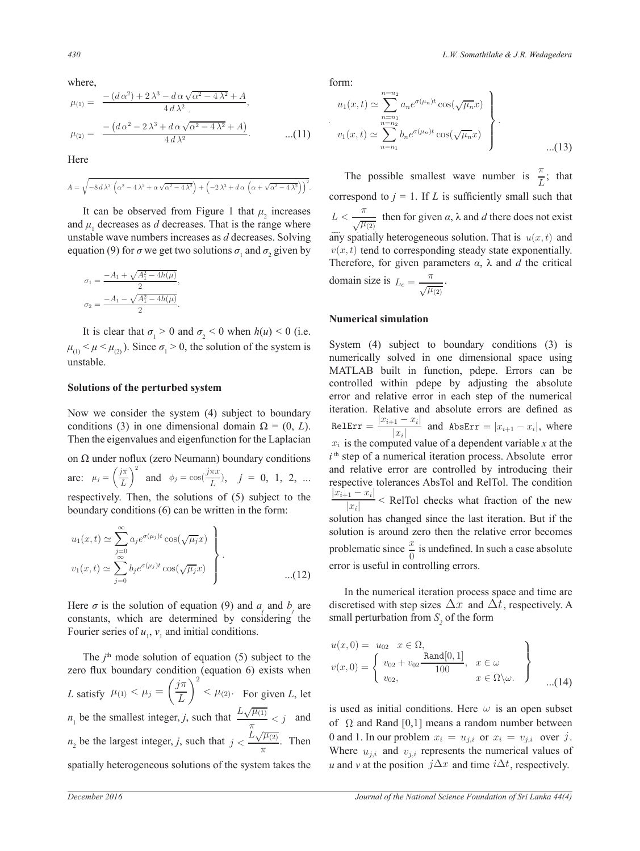where,  

$$
\mu_{(1)} = \frac{-(d\,\alpha^2) + 2\,\lambda^3 - d\,\alpha\,\sqrt{\alpha^2 - 4\,\lambda^2} + A}{4\,d\,\lambda^2},
$$
\n
$$
\mu_{(2)} = \frac{-(d\,\alpha^2 - 2\,\lambda^3 + d\,\alpha\,\sqrt{\alpha^2 - 4\,\lambda^2} + A)}{4\,d\,\lambda^2}.
$$
\n...(11)

Here

$$
A = \sqrt{-8 d \lambda^3 \left( \alpha^2 - 4 \lambda^2 + \alpha \sqrt{\alpha^2 - 4 \lambda^2} \right) + \left( -2 \lambda^3 + d \alpha \left( \alpha + \sqrt{\alpha^2 - 4 \lambda^2} \right) \right)^2}
$$

It can be observed from Figure 1 that  $\mu_2$  increases and  $\mu_1$  decreases as  $d$  decreases. That is the range where unstable wave numbers increases as *d* decreases. Solving equation (9) for  $\sigma$  we get two solutions  $\sigma_1$  and  $\sigma_2$  given by

$$
\sigma_1 = \frac{-A_1 + \sqrt{A_1^2 - 4h(\mu)}}{2},
$$

$$
\sigma_2 = \frac{-A_1 - \sqrt{A_1^2 - 4h(\mu)}}{2}.
$$

It is clear that  $\sigma_1 > 0$  and  $\sigma_2 < 0$  when  $h(u) < 0$  (i.e.  $\mu_{(1)} < \mu < \mu_{(2)}$ ). Since  $\sigma_1 > 0$ , the solution of the system is unstable.

#### **Solutions of the perturbed system**

Now we consider the system (4) subject to boundary conditions (3) in one dimensional domain  $\Omega = (0, L)$ . RelErr = Then the eigenvalues and eigenfunction for the Laplacian

on  $\Omega$  under noflux (zero Neumann) boundary conditions are:  $\mu_j = \left(\frac{j\pi}{l}\right)$ L  $\int_0^2$  and  $\phi_j = \cos(\frac{j\pi x}{L})$ ,  $j = 0, 1, 2, ...$ respectively. Then, the solutions of (5) subject to the boundary conditions (6) can be written in the form: bject to the  $\frac{|x_{i+1} - x_i|}{|x_i|}$ 

$$
u_1(x,t) \simeq \sum_{j=0}^{\infty} a_j e^{\sigma(\mu_j)t} \cos(\sqrt{\mu_j}x)
$$
  

$$
v_1(x,t) \simeq \sum_{j=0}^{\infty} b_j e^{\sigma(\mu_j)t} \cos(\sqrt{\mu_j}x)
$$
...(12)

Here  $\sigma$  is the solution of equation (9) and  $a_j$  and  $b_j$  are constants, which are determined by considering the Fourier series of  $u_1$ ,  $v_1$  and initial conditions.

The  $j<sup>th</sup>$  mode solution of equation (5) subject to the zero flux boundary condition (equation 6) exists when *L* satisfy  $\mu_{(1)} < \mu_j = \left(\frac{j\pi}{L}\right)$ L  $\setminus^2$  $< \mu_{(2)}$ . For given *L*, let  $n_1$  be the smallest integer, *j*, such that  $\frac{L\sqrt{\mu_{(1)}}}{\pi}$  $rac{\mu^{(1)}}{\pi}$  < j and  $n_2$  be the largest integer, *j*, such that  $j < \frac{\tilde{L}\sqrt{\mu_{(2)}}}{\pi}$ π spatially heterogeneous solutions of the system takes the

form:

.

.

$$
u_1(x,t) \simeq \sum_{\substack{n=n_1\\n=n_2\\n=n_1}}^{n=n_2} a_n e^{\sigma(\mu_n)t} \cos(\sqrt{\mu_n}x)
$$

$$
v_1(x,t) \simeq \sum_{n=n_1}^{n=n_2} b_n e^{\sigma(\mu_n)t} \cos(\sqrt{\mu_n}x)
$$
...(13)

The possible smallest wave number is  $\frac{\pi}{L}$ ; that correspond to  $j = 1$ . If *L* is sufficiently small such that  $L < \frac{\pi}{\sqrt{\mu_{(2)}}}$  then for given  $\alpha$ ,  $\lambda$  and  $d$  there does not exist any spatially heterogeneous solution. That is  $u(x, t)$  and  $v(x, t)$  tend to corresponding steady state exponentially. Therefore, for given parameters  $\alpha$ ,  $\lambda$  and  $d$  the critical domain size is  $L_c = -\frac{\pi}{\sqrt{2}}$  $\frac{\pi}{\sqrt{\mu_{(2)}}}.$ 

#### **Numerical simulation**

System (4) subject to boundary conditions (3) is numerically solved in one dimensional space using MATLAB built in function, pdepe. Errors can be controlled within pdepe by adjusting the absolute error and relative error in each step of the numerical iteration. Relative and absolute errors are defined as  $|x_{i+1} - x_i|$  $\frac{|x_i|}{|x_i|}$  and AbsErr =  $|x_{i+1} - x_i|$ , where  $x_i$  is the computed value of a dependent variable *x* at the  $i<sup>th</sup>$  step of a numerical iteration process. Absolute error and relative error are controlled by introducing their respective tolerances AbsTol and RelTol. The condition  $\frac{1}{|x_i|}$  < RelTol checks what fraction of the new solution has changed since the last iteration. But if the solution is around zero then the relative error becomes problematic since  $\frac{x}{0}$  is undefined. In such a case absolute error is useful in controlling errors.

 In the numerical iteration process space and time are discretised with step sizes  $\Delta x$  and  $\Delta t$ , respectively. A small perturbation from  $S<sub>2</sub>$  of the form

$$
u(x, 0) = u_{02} \quad x \in \Omega,
$$
  
\n
$$
v(x, 0) = \begin{cases} v_{02} + v_{02} \frac{\text{Rand}[0, 1]}{100}, & x \in \omega \\ v_{02}, & x \in \Omega \setminus \omega. \end{cases}
$$
...(14)

Then 0 and 1. In our problem  $x_i = u_{j,i}$  or  $x_i = v_{j,i}$  over j. is used as initial conditions. Here  $\omega$  is an open subset of  $\Omega$  and Rand [0,1] means a random number between Where  $u_{j,i}$  and  $v_{j,i}$  represents the numerical values of *u* and *v* at the position  $j\Delta x$  and time  $i\Delta t$ , respectively.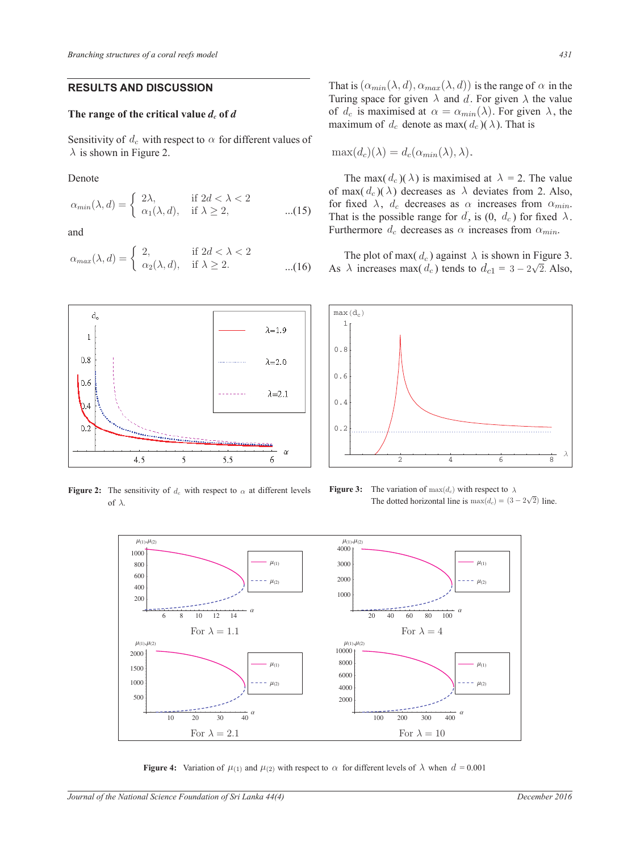# **RESULTS AND DISCUSSION**

# The range of the critical value  $d_c$  of  $d$

Sensitivity of  $d_c$  with respect to  $\alpha$  for different values of  $\lambda$  is shown in Figure 2.

Denote

$$
\alpha_{min}(\lambda, d) = \begin{cases} 2\lambda, & \text{if } 2d < \lambda < 2 \\ \alpha_1(\lambda, d), & \text{if } \lambda \ge 2, \end{cases} \tag{15}
$$

and

$$
\alpha_{max}(\lambda, d) = \begin{cases} 2, & \text{if } 2d < \lambda < 2 \\ \alpha_2(\lambda, d), & \text{if } \lambda \ge 2. \end{cases} \tag{16}
$$



**Figure 2:** The sensitivity of  $d_c$  with respect to  $\alpha$  at different levels of  $\lambda$ .



$$
\max(d_c)(\lambda) = d_c(\alpha_{min}(\lambda), \lambda).
$$

The max(  $d_c$ )(  $\lambda$ ) is maximised at  $\lambda = 2$ . The value of max( $d_c$ )( $\lambda$ ) decreases as  $\lambda$  deviates from 2. Also, for fixed  $\lambda$ ,  $d_c$  decreases as  $\alpha$  increases from  $\alpha_{min}$ . That is the possible range for  $d$ , is  $(0, d_c)$  for fixed  $\lambda$ . Furthermore  $d_c$  decreases as  $\alpha$  increases from  $\alpha_{min}$ .

The plot of max(  $d_c$ ) against  $\lambda$  is shown in Figure 3. ...(16) As  $\lambda$  increases max(  $d_c$ ) tends to  $d_{c1} = 3 - 2\sqrt{2}$ . Also,



**Figure 3:** The variation of  $\max(d_c)$  with respect to  $\lambda$ The dotted horizontal line is  $\max(d_c) = (3 - 2\sqrt{2})$  line.

 $\overline{\phantom{0}}$ 



**Figure 4:** Variation of  $\mu_{(1)}$  and  $\mu_{(2)}$  with respect to  $\alpha$  for different levels of  $\lambda$  when  $d = 0.001$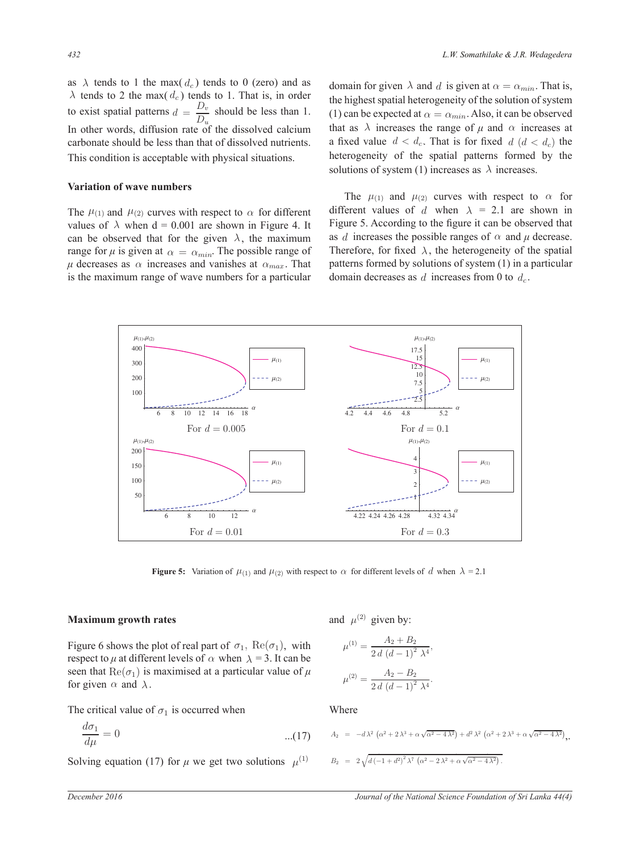as  $\lambda$  tends to 1 the max(  $d_c$ ) tends to 0 (zero) and as  $\lambda$  tends to 2 the max(  $d_c$ ) tends to 1. That is, in order to exist spatial patterns  $d = \frac{D_v}{D_v}$ atterns  $d = \frac{D_v}{D_u}$  should be less than 1. In other words, diffusion rate of the dissolved calcium carbonate should be less than that of dissolved nutrients. This condition is acceptable with physical situations. xist spatial patterns  $d = \frac{D_v}{D_u}$  should tends to 1 the max( $d_c$ ) tends to 0 (zero) and as carbonare shou d be less than the I natterns  $d = \frac{D_v}{2}$  should be less

#### **Variation of wave numbers**

The  $\mu_{(1)}$  and  $\mu_{(2)}$  curves with respect to  $\alpha$  for different values of  $\lambda$  when d = 0.001 are shown in Figure 4. It Figure 5. A can be observed that for the given  $\lambda$ , the maximum range for  $\mu$  is given at  $\alpha = \alpha_{min}$ . The possible range of  $\mu$  decreases as  $\alpha$  increases and vanishes at  $\alpha_{max}$ . That is the maximum range of wave numbers for a particular

bolved nutrients. a fixed value  $d < d_c$ . That is for fixed  $d (d < d_c)$  the <sup>is</sup> domain for given  $\lambda$  and d is given at  $\alpha = \alpha_{min}$ . That is, the highest spatial heterogeneity of the solution of system (1) can be expected at  $\alpha = \alpha_{min}$ . Also, it can be observed for different values of that as  $\lambda$  increases the range of  $\mu$  and  $\alpha$  increases at heterogeneity of the spatial patterns formed by the solutions of system (1) increases as  $\lambda$  increases. ) can be expected at  $\alpha = \alpha_{min}$ . Also, it can be observe

> The  $\mu_{(1)}$  and  $\mu_{(2)}$  curves with respect to  $\alpha$  for different values of d when  $\lambda = 2.1$  are shown in Figure 5. According to the figure it can be observed that as *d* increases the possible ranges of  $\alpha$  and  $\mu$  decrease. Therefore, for fixed  $\lambda$ , the heterogeneity of the spatial patterns formed by solutions of system  $(1)$  in a particular domain decreases as  $d$  increases from 0 to  $d_c$ .



**Figure 5:** Variation of  $\mu_{(1)}$  and  $\mu_{(2)}$  with respect to  $\alpha$  for different levels of d when  $\lambda = 2.1$ 

# **Maximum growth rates**

respect to  $\mu$  at different levels of  $\alpha$  when  $\lambda = 3$ . It can be Figure 6 shows the plot of real part of  $\sigma_1$ ,  $\text{Re}(\sigma_1)$ , with  $\mu^{(1)}$ for given  $\alpha$  and  $\lambda$ . seen that  $\text{Re}(\sigma_1)$  is maximised at a particular value of  $\mu$ 

The critical value of  $\sigma_1$  is occurred when

$$
\frac{d\sigma_1}{d\mu} = 0 \tag{17}
$$

Solving equation (17) for  $\mu$  we get two solutions  $\mu^{(1)}$ 

and  $\mu^{(2)}$  given by:

with  
\nbe  
\n
$$
\mu^{(1)} = \frac{A_2 + B_2}{2 d (d-1)^2 \lambda^4},
$$
\n
$$
\mu^{(2)} = \frac{A_2 - B_2}{2 d (d-1)^2 \lambda^4}.
$$

Where

$$
A_2 = -d\lambda^2 \left( \alpha^2 + 2\lambda^3 + \alpha\sqrt{\alpha^2 - 4\lambda^2} \right) + d^2\lambda^2 \left( \alpha^2 + 2\lambda^3 + \alpha\sqrt{\alpha^2 - 4\lambda^2} \right),
$$

$$
B_2 = 2\sqrt{d(-1+d^2)^2 \lambda^7 (\alpha^2 - 2\lambda^2 + \alpha\sqrt{\alpha^2 - 4\lambda^2})}
$$

.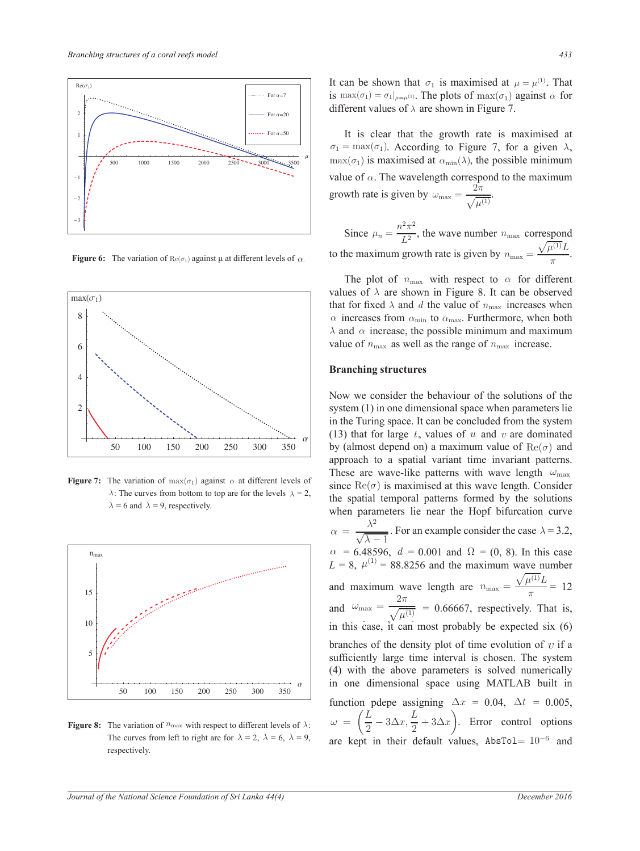

**Figure 6:** The variation of  $\text{Re}(\sigma_1)$  against  $\mu$  at different levels of  $\alpha$ .



**Figure 7:** The variation of  $\max(\sigma_1)$  against  $\alpha$  at different levels of  $\lambda = 6$  and  $\lambda = 9$ , respectively.  $\lambda$ : The curves from bottom to top are for the levels  $\lambda = 2$ ,



 respectively.**Figure 8:** The variation of  $n_{\text{max}}$  with respect to different levels of  $\lambda$ :  $\omega = \begin{pmatrix} \frac{\pi}{2} - 3 \end{pmatrix}$ The curves from left to right are for  $\lambda = 2$ ,  $\lambda = 6$ ,  $\lambda = 9$ , are kent i

It can be shown that  $\sigma_1$  is maximised at  $\mu = \mu^{(1)}$ . That For  $a=7$  is  $\max(\sigma_1) = \sigma_1|_{\mu=\mu^{(1)}}$ . The plots of  $\max(\sigma_1)$  against  $\alpha$  for different values of  $\lambda$  are shown in Figure 7.

the contract of the contract of the contract of the contract of the contract of

 It is clear that the growth rate is maximised at  $\sigma_1 = \max(\sigma_1)$ . According to Figure 7, for a given  $\lambda$ ,  $\lim_{\delta \to \infty} \frac{1}{\delta \cos \theta}$  =  $\lim_{\delta \to \infty}$  =  $\lim_{\delta \to \infty}$  ( $\sigma_1$ ) is maximised at  $\alpha_{\min}(\lambda)$ , the possible minimum  $\sim$  is maximum value of  $\alpha$ . The wavelength correspond to the maximum growth rate is given by  $\omega_{\text{max}} = \frac{2\pi}{\sqrt{2}}$  $\frac{2n}{\sqrt{\mu^{(1)}}}$ .

> Since  $\mu_n = \frac{n^2 \pi^2}{L^2}$  $\frac{n}{L^2}$ , the wave number  $n_{\text{max}}$  correspond to the maximum growth rate is given by  $n_{\text{max}} = \frac{\sqrt{\mu^{(1)}}L}{\sigma^2}$  $rac{\pi}{\pi}$ .

 $\lambda$  and  $\alpha$  increase, the possible minimum and maximum values of  $\lambda$  are shown in Figure 8. It can be observed value of  $n_{\text{max}}$  as well as the range of  $n_{\text{max}}$  increase. The plot of  $n_{\text{max}}$  with respect to  $\alpha$  for different that for fixed  $\lambda$  and d the value of  $n_{\text{max}}$  increases when  $\alpha$  increases from  $\alpha_{\min}$  to  $\alpha_{\max}$ . Furthermore, when both

#### щц **Branching structures**

 $n_e$ in the Turing space. It can be concluded from the system  $ve$ 350 by (almost depend on) a maximum value of  $\text{Re}(\sigma)$  and  $s<sub>system</sub> (1)$  in one dimensional space when parameters lie Now we consider the behaviour of the solutions of the approach to a spatial variant time invariant patterns.  $\alpha$  at different levels of since  $\text{Re}(\sigma)$  is maximised at this wave length. Consider p are for the levels  $\lambda = 2$ , the spatial temporal patterns formed by the solutions (13) that for large  $t$ , values of  $u$  and  $v$  are dominated are kept in their default values,  $\text{AbsTo1} = 10^{-6}$  $\omega = \left(\frac{L}{2} - 3\Delta x, \frac{L}{2} + 3\Delta x\right)$ These are wave-like patterns with wave length  $\omega_{\text{max}}$ when parameters lie near the Hopf bifurcation curve  $\alpha = \frac{\lambda^2}{\sqrt{2\lambda^2}}$  $\sqrt{\lambda - 1}$ . For an example consider the case  $\lambda = 3.2$ ,  $\alpha = 6.48596, d = 0.001$  and  $\Omega = (0, 8)$ . In this case  $L = 8$ ,  $\alpha = 6.48596, d = 0.00$  $= 8$ ,  $\mu^{(1)} = 88.8256$  and the maximum wave number and maximum wave length are  $n_{\text{max}} = \frac{\sqrt{\mu^{(1)}L}}{2}$  $\frac{x}{\pi} = 12$ and  $\omega_{\text{max}} = \frac{2\pi}{\sqrt{d}}$  $\overline{\sqrt{\mu^{(1)}}}$  = 0.66667, respectively. That is, in this case, it can most probably be expected six  $(6)$ branches of the density plot of time evolution of  $v$  if a sufficiently large time interval is chosen. The system (4) with the above parameters is solved numerically in one dimensional space using MATLAB built in function pdepe assigning  $\Delta x = 0.04$ ,  $\Delta t = 0.005$ ,  $\frac{L}{2}$  – 3 $\Delta x, \frac{L}{2}$  $\omega = \left(\frac{L}{2} - 3\Delta x, \frac{L}{2} + 3\Delta x\right)$ . Error control options and the spherical state of  $\alpha$  (13) that for tagger and the spherical state of  $\alpha$  ( $\alpha$ ) and  $\alpha$  ( $\alpha$ ) and  $\alpha$  ( $\alpha$ ) and  $\alpha$  ( $\alpha$ ) and  $\alpha$  ( $\alpha$ ) and  $\alpha$  ( $\alpha$ ) and  $\alpha$  ( $\alpha$ ) and  $\alpha$  ( $\alpha$ ) and  $\alpha$  ( $\alpha$ ) a

Ĩ

π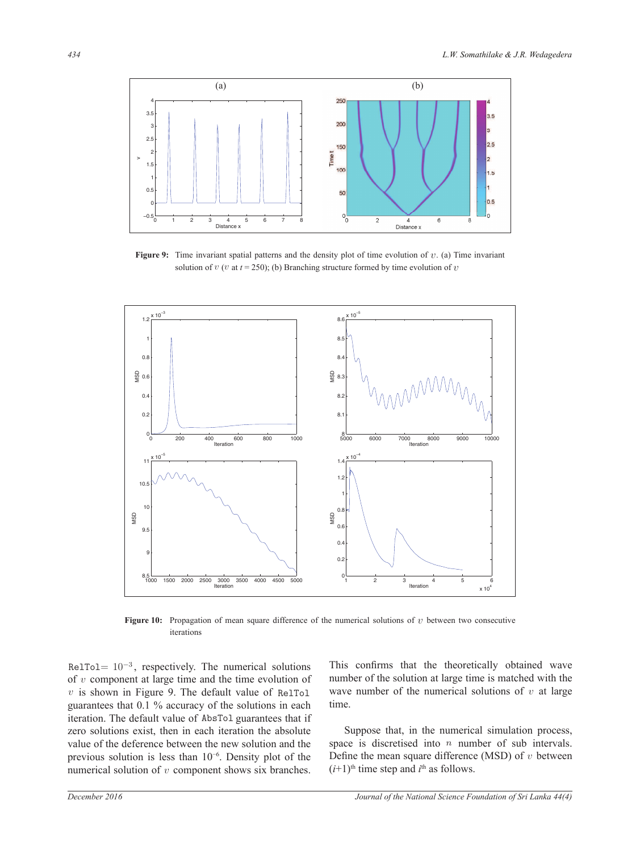

**Figure 9:** Time invariant spatial patterns and the density plot of time evolution of  $v$ . (a) Time invariant solution of  $v$  ( $v$  at  $t = 250$ ); (b) Branching structure formed by time evolution of  $v$ 



**Figure 10:** Propagation of mean square difference of the numerical solutions of  $v$  between two consecutive iterations

RelTol=  $10^{-3}$ , respectively. The numerical solutions of  $v$  component at large time and the time evolution of  $\overline{v}$  $v$  is shown in Figure 9. The default value of RelTol guarantees that 0.1 % accuracy of the solutions in each iteration. The default value of AbsTol guarantees that if zero solutions exist, then in each iteration the absolute value of the deference between the new solution and the previous solution is less than  $10^{-6}$ . Density plot of the numerical solution of  $v$  component shows six branches. This confirms that the theoretically obtained wave number of the solution at large time is matched with the wave number of the numerical solutions of  $v$  at large time.

 Suppose that, in the numerical simulation process, space is discretised into  $n$  number of sub intervals. Define the mean square difference (MSD) of  $v$  between  $(i+1)$ <sup>th</sup> time step and  $i$ <sup>th</sup> as follows.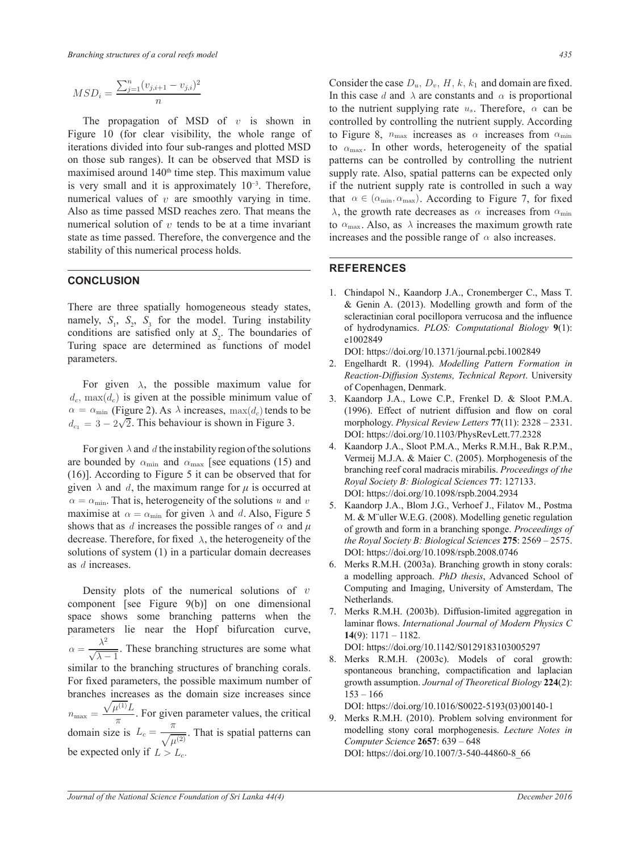$$
MSD_i = \frac{\sum_{j=1}^{n} (v_{j,i+1} - v_{j,i})^2}{n}
$$

 state as time passed. Therefore, the convergence and the numerical solution of  $v$  tends to be at a time invariant numerical values of  $v$  are smoothly varying in time. The propagation of MSD of  $v$  is shown in stability of this numerical process holds. Figure 10 (for clear visibility, the whole range of iterations divided into four sub-ranges and plotted MSD on those sub ranges). It can be observed that MSD is maximised around 140<sup>th</sup> time step. This maximum value is very small and it is approximately  $10^{-3}$ . Therefore, Also as time passed MSD reaches zero. That means the

# **CONCLUSION**

÷

conditions are satisfied only at  $S_2$ . The boundaries of namely,  $S_1$ ,  $S_2$ ,  $S_3$  for the model. Turing instability There are three spatially homogeneous steady states, parameters. sp Turing space are determined as functions of model

 $\alpha = \alpha_{\min}$  (Figure 2). As  $\lambda$  increases, max(d<sub>c</sub>) tends to be For given  $\lambda$ , the possible maximum value for  $\Box$  $d_c$ ,  $\max(d_c)$  is given at the possible minimum value of 3. Kaandorp J.  $d_{c_1} = 3 - 2\sqrt{2}$ . This behaviour is shown in Figure 3.

given  $\lambda$  and  $d$ , the maximum range for  $\mu$  is occurred at (16)]. According to Figure 5 it can be observed that for are bounded by  $\alpha_{\min}$  and  $\alpha_{\max}$  [see equations (15) and For given  $\lambda$  and d, the instability region of the solutions  $\alpha = \alpha_{\min}$ . That is, heterogeneity of the solutions u and v maximise at  $\alpha = \alpha_{\min}$  for given  $\lambda$  and d, Also, Figure 5 shows that as d increases the possible ranges of  $\alpha$  and  $\mu$ decrease. Therefore, for fixed  $\lambda$ , the heterogeneity of the solutions of system (1) in a particular domain decreases as  $d$  increases.

Density plots of the numerical solutions of  $v$ be expected only if  $L > L_c$ . ç  $\mathbf{r}$  $n_{\text{max}} = \frac{\sqrt{\mu^{(1)}}L}{2}$ . For given component [see Figure 9(b)] on one dimensional space shows some branching patterns when the parameters lie near the Hopf bifurcation curve,  $\alpha = \frac{\lambda^2}{\sqrt{2\pi}}$  $\frac{\lambda}{\sqrt{\lambda - 1}}$ . These branching structures are some what BOI: https://<br>8. Merks R.M similar to the branching structures of branching corals. For fixed parameters, the possible maximum number of branches increases as the domain size increases since  $\frac{\pi}{\pi}$ . For given parameter values, the critical domain size is  $L_c = -\frac{\pi}{c}$  $\frac{\overline{h}}{\sqrt{\mu^{(2)}}}$ . That is spatial patterns can be expected to the computer Science

Consider the case  $D_u$ ,  $D_v$ ,  $H$ ,  $k$ ,  $k_1$  and domain are fixed. In this case d and  $\lambda$  are constants and  $\alpha$  is proportional to the nutrient supplying rate  $u_s$ . Therefore,  $\alpha$  can be controlled by controlling the nutrient supply. According to Figure 8,  $n_{\text{max}}$  increases as  $\alpha$  increases from  $\alpha_{\text{min}}$ to  $\alpha_{\text{max}}$ . In other words, heterogeneity of the spatial patterns can be controlled by controlling the nutrient supply rate. Also, spatial patterns can be expected only if the nutrient supply rate is controlled in such a way varying in time. that  $\alpha \in (\alpha_{\min}, \alpha_{\max})$ . According to Figure 7, for fixed is the  $\lambda$ , the growth rate decreases as  $\alpha$  increases from  $\alpha_{\min}$ to  $\alpha_{\text{max}}$ . Also, as  $\lambda$  increases the maximum growth rate increases and the possible range of  $\alpha$  also increases.

### REFERENCES

 of hydrodynamics. *PLOS: Computational Biology* **9**(1): 1. Chindapol N., Kaandorp J.A., Cronemberger C., Mass T. & Genin A. (2013). Modelling growth and form of the scleractinian coral pocillopora verrucosa and the influence e1002849

DOI: https://doi.org/10.1371/journal.pcbi.1002849

- 2. Engelhardt R. (1994). *Modelling Pattern Formation in Reaction-Diffusion Systems, Technical Report*. University of Copenhagen, Denmark.
- 3. Kaandorp J.A., Lowe C.P., Frenkel D. & Sloot P.M.A. (1996). Effect of nutrient diffusion and flow on coral morphology. *Physical Review Letters* **77**(11): 2328 – 2331. DOI: https://doi.org/10.1103/PhysRevLett.77.2328
- *Royal Society B: Biological Sciences* **77**: 127133. DOI: https://doi.org/10.1098/rspb.2004.2934 4. Kaandorp J.A., Sloot P.M.A., Merks R.M.H., Bak R.P.M., Vermeij M.J.A. & Maier C. (2005). Morphogenesis of the branching reef coral madracis mirabilis. *Proceedings of the* 
	- 5. Kaandorp J.A., Blom J.G., Verhoef J., Filatov M., Postma M. & M¨uller W.E.G. (2008). Modelling genetic regulation of growth and form in a branching sponge. *Proceedings of the Royal Society B: Biological Sciences* **275**: 2569 – 2575. DOI: https://doi.org/10.1098/rspb.2008.0746
	- 6. Merks R.M.H. (2003a). Branching growth in stony corals: a modelling approach. *PhD thesis*, Advanced School of Computing and Imaging, University of Amsterdam, The Netherlands.
	- 7. Merks R.M.H. (2003b). Diffusion-limited aggregation in laminar flows. International Journal of Modern Physics C **14**(9): 1171 – 1182.

DOI: https://doi.org/10.1142/S0129183103005297

8. Merks R.M.H. (2003c). Models of coral growth: spontaneous branching, compactification and laplacian growth assumption. *Journal of Theoretical Biology* **224**(2): 153 – 166

DOI: https://doi.org/10.1016/S0022-5193(03)00140-1

9. Merks R.M.H. (2010). Problem solving environment for modelling stony coral morphogenesis. *Lecture Notes in Computer Science* **2657**: 639 – 648 DOI: https://doi.org/10.1007/3-540-44860-8\_66